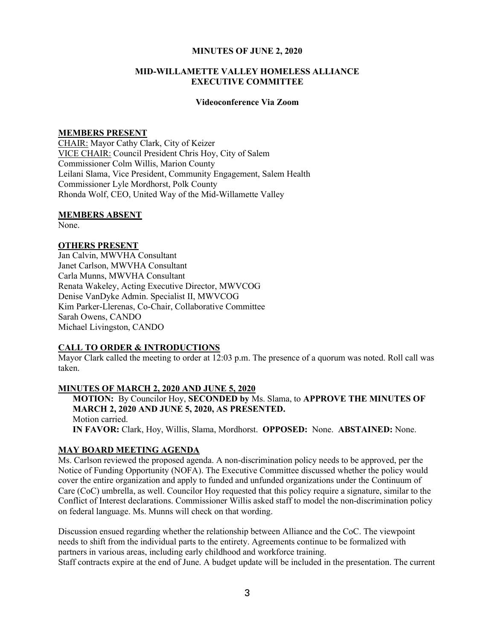#### MINUTES OF JUNE 2, 2020

## MID-WILLAMETTE VALLEY HOMELESS ALLIANCE EXECUTIVE COMMITTEE

#### Videoconference Via Zoom

## MEMBERS PRESENT

CHAIR: Mayor Cathy Clark, City of Keizer VICE CHAIR: Council President Chris Hoy, City of Salem Commissioner Colm Willis, Marion County Leilani Slama, Vice President, Community Engagement, Salem Health Commissioner Lyle Mordhorst, Polk County Rhonda Wolf, CEO, United Way of the Mid-Willamette Valley

#### MEMBERS ABSENT

None.

### OTHERS PRESENT

Jan Calvin, MWVHA Consultant Janet Carlson, MWVHA Consultant Carla Munns, MWVHA Consultant Renata Wakeley, Acting Executive Director, MWVCOG Denise VanDyke Admin. Specialist II, MWVCOG Kim Parker-Llerenas, Co-Chair, Collaborative Committee Sarah Owens, CANDO Michael Livingston, CANDO

## CALL TO ORDER & INTRODUCTIONS

Mayor Clark called the meeting to order at  $12:03$  p.m. The presence of a quorum was noted. Roll call was taken.

#### MINUTES OF MARCH 2, 2020 AND JUNE 5, 2020

MOTION: By Councilor Hoy, SECONDED by Ms. Slama, to APPROVE THE MINUTES OF MARCH 2, 2020 AND JUNE 5, 2020, AS PRESENTED. Motion carried. IN FAVOR: Clark, Hoy, Willis, Slama, Mordhorst. OPPOSED: None. ABSTAINED: None.

## MAY BOARD MEETING AGENDA

Ms. Carlson reviewed the proposed agenda. A non-discrimination policy needs to be approved, per the Notice of Funding Opportunity (NOFA). The Executive Committee discussed whether the policy would cover the entire organization and apply to funded and unfunded organizations under the Continuum of Care (CoC) umbrella, as well. Councilor Hoy requested that this policy require a signature, similar to the Conflict of Interest declarations. Commissioner Willis asked staff to model the non-discrimination policy on federal language. Ms. Munns will check on that wording.

Discussion ensued regarding whether the relationship between Alliance and the CoC. The viewpoint needs to shift from the individual parts to the entirety. Agreements continue to be formalized with partners in various areas, including early childhood and workforce training. Staff contracts expire at the end of June. A budget update will be included in the presentation. The current